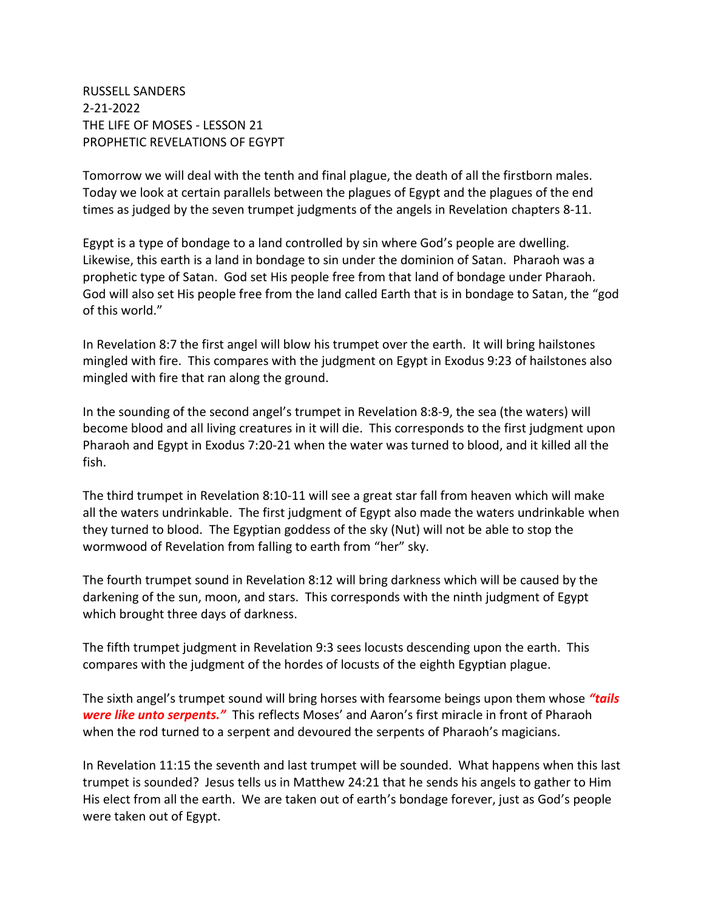RUSSELL SANDERS 2-21-2022 THE LIFE OF MOSES - LESSON 21 PROPHETIC REVELATIONS OF EGYPT

Tomorrow we will deal with the tenth and final plague, the death of all the firstborn males. Today we look at certain parallels between the plagues of Egypt and the plagues of the end times as judged by the seven trumpet judgments of the angels in Revelation chapters 8-11.

Egypt is a type of bondage to a land controlled by sin where God's people are dwelling. Likewise, this earth is a land in bondage to sin under the dominion of Satan. Pharaoh was a prophetic type of Satan. God set His people free from that land of bondage under Pharaoh. God will also set His people free from the land called Earth that is in bondage to Satan, the "god of this world."

In Revelation 8:7 the first angel will blow his trumpet over the earth. It will bring hailstones mingled with fire. This compares with the judgment on Egypt in Exodus 9:23 of hailstones also mingled with fire that ran along the ground.

In the sounding of the second angel's trumpet in Revelation 8:8-9, the sea (the waters) will become blood and all living creatures in it will die. This corresponds to the first judgment upon Pharaoh and Egypt in Exodus 7:20-21 when the water was turned to blood, and it killed all the fish.

The third trumpet in Revelation 8:10-11 will see a great star fall from heaven which will make all the waters undrinkable. The first judgment of Egypt also made the waters undrinkable when they turned to blood. The Egyptian goddess of the sky (Nut) will not be able to stop the wormwood of Revelation from falling to earth from "her" sky.

The fourth trumpet sound in Revelation 8:12 will bring darkness which will be caused by the darkening of the sun, moon, and stars. This corresponds with the ninth judgment of Egypt which brought three days of darkness.

The fifth trumpet judgment in Revelation 9:3 sees locusts descending upon the earth. This compares with the judgment of the hordes of locusts of the eighth Egyptian plague.

The sixth angel's trumpet sound will bring horses with fearsome beings upon them whose *"tails were like unto serpents."* This reflects Moses' and Aaron's first miracle in front of Pharaoh when the rod turned to a serpent and devoured the serpents of Pharaoh's magicians.

In Revelation 11:15 the seventh and last trumpet will be sounded. What happens when this last trumpet is sounded? Jesus tells us in Matthew 24:21 that he sends his angels to gather to Him His elect from all the earth. We are taken out of earth's bondage forever, just as God's people were taken out of Egypt.